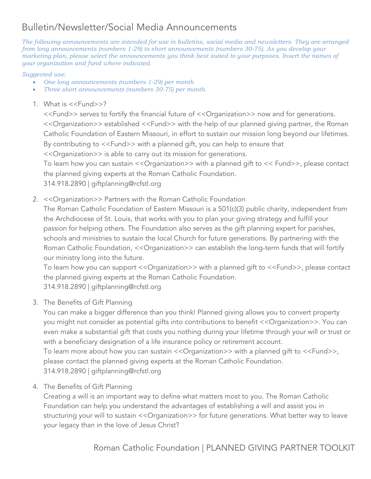# Bulletin/Newsletter/Social Media Announcements

*The following announcements are intended for use in bulletins, social media and newsletters. They are arranged from long announcements (numbers 1-29) to short announcements (numbers 30-75). As you develop your marketing plan, please select the announcements you think best suited to your purposes. Insert the names of your organization and fund where indicated.*

#### *Suggested use:*

- *One long announcements (numbers 1-29) per month*
- *Three short announcements (numbers 30-75) per month.*
- 1. What is <<Fund>>?

<<Fund>> serves to fortify the financial future of <<Organization>> now and for generations. <<Organization>> established <<Fund>> with the help of our planned giving partner, the Roman Catholic Foundation of Eastern Missouri, in effort to sustain our mission long beyond our lifetimes. By contributing to <<Fund>> with a planned gift, you can help to ensure that

<<Organization>> is able to carry out its mission for generations.

To learn how you can sustain << Organization>> with a planned gift to << Fund>>, please contact the planned giving experts at the Roman Catholic Foundation.

314.918.2890 | giftplanning@rcfstl.org

2. << Organization >> Partners with the Roman Catholic Foundation

The Roman Catholic Foundation of Eastern Missouri is a 501(c)(3) public charity, independent from the Archdiocese of St. Louis, that works with you to plan your giving strategy and fulfill your passion for helping others. The Foundation also serves as the gift planning expert for parishes, schools and ministries to sustain the local Church for future generations. By partnering with the Roman Catholic Foundation, << Organization>> can establish the long-term funds that will fortify our ministry long into the future.

To learn how you can support << Organization>> with a planned gift to << Fund>>, please contact the planned giving experts at the Roman Catholic Foundation. 314.918.2890 | giftplanning@rcfstl.org

3. The Benefits of Gift Planning

You can make a bigger difference than you think! Planned giving allows you to convert property you might not consider as potential gifts into contributions to benefit <<Organization>>. You can even make a substantial gift that costs you nothing during your lifetime through your will or trust or with a beneficiary designation of a life insurance policy or retirement account.

To learn more about how you can sustain << Organization>> with a planned gift to << Fund>>, please contact the planned giving experts at the Roman Catholic Foundation. 314.918.2890 | giftplanning@rcfstl.org

4. The Benefits of Gift Planning

Creating a will is an important way to define what matters most to you. The Roman Catholic Foundation can help you understand the advantages of establishing a will and assist you in structuring your will to sustain << Organization>> for future generations. What better way to leave your legacy than in the love of Jesus Christ?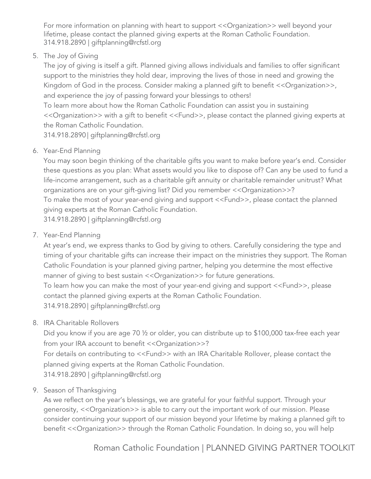For more information on planning with heart to support <<Organization>> well beyond your lifetime, please contact the planned giving experts at the Roman Catholic Foundation. 314.918.2890 | giftplanning@rcfstl.org

5. The Joy of Giving

The joy of giving is itself a gift. Planned giving allows individuals and families to offer significant support to the ministries they hold dear, improving the lives of those in need and growing the Kingdom of God in the process. Consider making a planned gift to benefit << Organization>>, and experience the joy of passing forward your blessings to others!

To learn more about how the Roman Catholic Foundation can assist you in sustaining <<Organization>> with a gift to benefit <<Fund>>, please contact the planned giving experts at the Roman Catholic Foundation.

314.918.2890 | giftplanning@rcfstl.org

6. Year-End Planning

You may soon begin thinking of the charitable gifts you want to make before year's end. Consider these questions as you plan: What assets would you like to dispose of? Can any be used to fund a life-income arrangement, such as a charitable gift annuity or charitable remainder unitrust? What organizations are on your gift-giving list? Did you remember << Organization >>? To make the most of your year-end giving and support <<Fund>>, please contact the planned giving experts at the Roman Catholic Foundation. 314.918.2890 | giftplanning@rcfstl.org

7. Year-End Planning

At year's end, we express thanks to God by giving to others. Carefully considering the type and timing of your charitable gifts can increase their impact on the ministries they support. The Roman Catholic Foundation is your planned giving partner, helping you determine the most effective manner of giving to best sustain << Organization>> for future generations.

To learn how you can make the most of your year-end giving and support <<Fund>>, please contact the planned giving experts at the Roman Catholic Foundation. 314.918.2890 | giftplanning@rcfstl.org

8. IRA Charitable Rollovers

Did you know if you are age 70 ½ or older, you can distribute up to \$100,000 tax-free each year from your IRA account to benefit << Organization >>? For details on contributing to <<Fund>> with an IRA Charitable Rollover, please contact the planned giving experts at the Roman Catholic Foundation. 314.918.2890 | giftplanning@rcfstl.org

9. Season of Thanksgiving

As we reflect on the year's blessings, we are grateful for your faithful support. Through your generosity, << Organization>> is able to carry out the important work of our mission. Please consider continuing your support of our mission beyond your lifetime by making a planned gift to benefit << Organization>> through the Roman Catholic Foundation. In doing so, you will help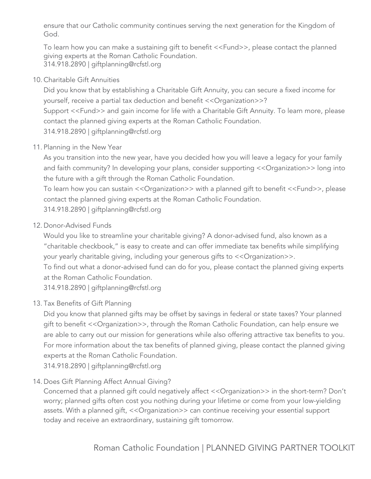ensure that our Catholic community continues serving the next generation for the Kingdom of God.

To learn how you can make a sustaining gift to benefit <<Fund>>, please contact the planned giving experts at the Roman Catholic Foundation. 314.918.2890 | giftplanning@rcfstl.org

## 10. Charitable Gift Annuities

Did you know that by establishing a Charitable Gift Annuity, you can secure a fixed income for yourself, receive a partial tax deduction and benefit << Organization >>? Support <<Fund>> and gain income for life with a Charitable Gift Annuity. To learn more, please contact the planned giving experts at the Roman Catholic Foundation. 314.918.2890 | giftplanning@rcfstl.org

# 11. Planning in the New Year

As you transition into the new year, have you decided how you will leave a legacy for your family and faith community? In developing your plans, consider supporting << Organization>> long into the future with a gift through the Roman Catholic Foundation.

To learn how you can sustain << Organization>> with a planned gift to benefit << Fund>>, please contact the planned giving experts at the Roman Catholic Foundation.

314.918.2890 | giftplanning@rcfstl.org

## 12. Donor-Advised Funds

Would you like to streamline your charitable giving? A donor-advised fund, also known as a "charitable checkbook," is easy to create and can offer immediate tax benefits while simplifying your yearly charitable giving, including your generous gifts to << Organization>>.

To find out what a donor-advised fund can do for you, please contact the planned giving experts at the Roman Catholic Foundation.

314.918.2890 | giftplanning@rcfstl.org

# 13. Tax Benefits of Gift Planning

Did you know that planned gifts may be offset by savings in federal or state taxes? Your planned gift to benefit <<Organization>>, through the Roman Catholic Foundation, can help ensure we are able to carry out our mission for generations while also offering attractive tax benefits to you. For more information about the tax benefits of planned giving, please contact the planned giving experts at the Roman Catholic Foundation.

314.918.2890 | giftplanning@rcfstl.org

# 14. Does Gift Planning Affect Annual Giving?

Concerned that a planned gift could negatively affect <<Organization>> in the short-term? Don't worry; planned gifts often cost you nothing during your lifetime or come from your low-yielding assets. With a planned gift, << Organization>> can continue receiving your essential support today and receive an extraordinary, sustaining gift tomorrow.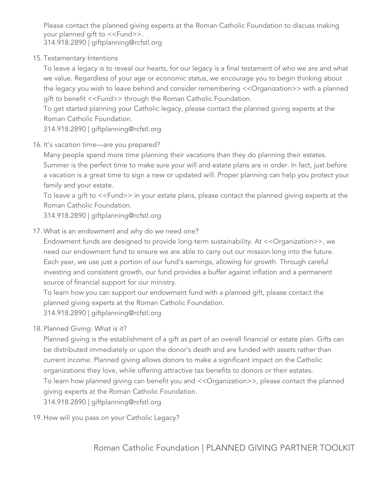Please contact the planned giving experts at the Roman Catholic Foundation to discuss making your planned gift to <<Fund>>.

314.918.2890 | giftplanning@rcfstl.org

15. Testamentary Intentions

To leave a legacy is to reveal our hearts, for our legacy is a final testament of who we are and what we value. Regardless of your age or economic status, we encourage you to begin thinking about the legacy you wish to leave behind and consider remembering << Organization>> with a planned gift to benefit <<Fund>> through the Roman Catholic Foundation.

To get started planning your Catholic legacy, please contact the planned giving experts at the Roman Catholic Foundation.

314.918.2890 | giftplanning@rcfstl.org

16. It's vacation time—are you prepared?

Many people spend more time planning their vacations than they do planning their estates. Summer is the perfect time to make sure your will and estate plans are in order. In fact, just before a vacation is a great time to sign a new or updated will. Proper planning can help you protect your family and your estate.

To leave a gift to <<Fund>> in your estate plans, please contact the planned giving experts at the Roman Catholic Foundation.

314.918.2890 | giftplanning@rcfstl.org

17. What is an endowment and why do we need one?

Endowment funds are designed to provide long-term sustainability. At << Organization>>, we need our endowment fund to ensure we are able to carry out our mission long into the future. Each year, we use just a portion of our fund's earnings, allowing for growth. Through careful investing and consistent growth, our fund provides a buffer against inflation and a permanent source of financial support for our ministry.

To learn how you can support our endowment fund with a planned gift, please contact the planned giving experts at the Roman Catholic Foundation. 314.918.2890 | giftplanning@rcfstl.org

18. Planned Giving: What is it?

Planned giving is the establishment of a gift as part of an overall financial or estate plan. Gifts can be distributed immediately or upon the donor's death and are funded with assets rather than current income. Planned giving allows donors to make a significant impact on the Catholic organizations they love, while offering attractive tax benefits to donors or their estates. To learn how planned giving can benefit you and <<Organization>>, please contact the planned giving experts at the Roman Catholic Foundation. 314.918.2890 | giftplanning@rcfstl.org

19. How will you pass on your Catholic Legacy?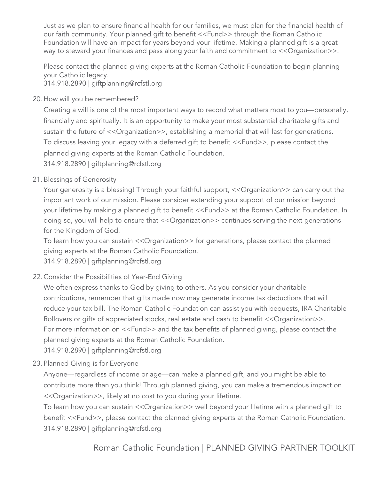Just as we plan to ensure financial health for our families, we must plan for the financial health of our faith community. Your planned gift to benefit <<Fund>> through the Roman Catholic Foundation will have an impact for years beyond your lifetime. Making a planned gift is a great way to steward your finances and pass along your faith and commitment to << Organization>>.

Please contact the planned giving experts at the Roman Catholic Foundation to begin planning your Catholic legacy.

314.918.2890 | giftplanning@rcfstl.org

20. How will you be remembered?

Creating a will is one of the most important ways to record what matters most to you—personally, financially and spiritually. It is an opportunity to make your most substantial charitable gifts and sustain the future of << Organization>>, establishing a memorial that will last for generations. To discuss leaving your legacy with a deferred gift to benefit <<Fund>>, please contact the planned giving experts at the Roman Catholic Foundation. 314.918.2890 | giftplanning@rcfstl.org

21. Blessings of Generosity

Your generosity is a blessing! Through your faithful support, << Organization>> can carry out the important work of our mission. Please consider extending your support of our mission beyond your lifetime by making a planned gift to benefit <<Fund>> at the Roman Catholic Foundation. In doing so, you will help to ensure that << Organization>> continues serving the next generations for the Kingdom of God.

To learn how you can sustain << Organization>> for generations, please contact the planned giving experts at the Roman Catholic Foundation. 314.918.2890 | giftplanning@rcfstl.org

22. Consider the Possibilities of Year-End Giving

We often express thanks to God by giving to others. As you consider your charitable contributions, remember that gifts made now may generate income tax deductions that will reduce your tax bill. The Roman Catholic Foundation can assist you with bequests, IRA Charitable Rollovers or gifts of appreciated stocks, real estate and cash to benefit << Organization>>. For more information on <<Fund>> and the tax benefits of planned giving, please contact the planned giving experts at the Roman Catholic Foundation.

314.918.2890 | giftplanning@rcfstl.org

23. Planned Giving is for Everyone

Anyone—regardless of income or age—can make a planned gift, and you might be able to contribute more than you think! Through planned giving, you can make a tremendous impact on <<Organization>>, likely at no cost to you during your lifetime.

To learn how you can sustain << Organization>> well beyond your lifetime with a planned gift to benefit <<Fund>>, please contact the planned giving experts at the Roman Catholic Foundation. 314.918.2890 | giftplanning@rcfstl.org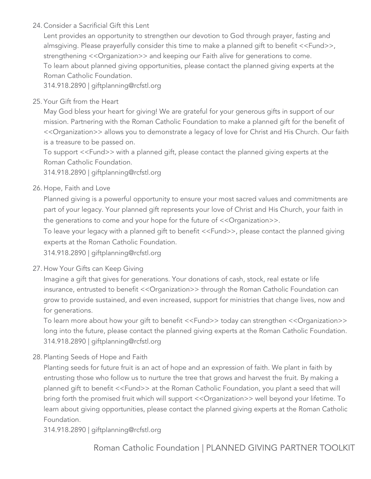#### 24. Consider a Sacrificial Gift this Lent

Lent provides an opportunity to strengthen our devotion to God through prayer, fasting and almsgiving. Please prayerfully consider this time to make a planned gift to benefit <<Fund>>, strengthening << Organization >> and keeping our Faith alive for generations to come. To learn about planned giving opportunities, please contact the planned giving experts at the Roman Catholic Foundation.

314.918.2890 | giftplanning@rcfstl.org

# 25. Your Gift from the Heart

May God bless your heart for giving! We are grateful for your generous gifts in support of our mission. Partnering with the Roman Catholic Foundation to make a planned gift for the benefit of <<Organization>> allows you to demonstrate a legacy of love for Christ and His Church. Our faith is a treasure to be passed on.

To support <<Fund>> with a planned gift, please contact the planned giving experts at the Roman Catholic Foundation.

314.918.2890 | giftplanning@rcfstl.org

## 26. Hope, Faith and Love

Planned giving is a powerful opportunity to ensure your most sacred values and commitments are part of your legacy. Your planned gift represents your love of Christ and His Church, your faith in the generations to come and your hope for the future of << Organization >>.

To leave your legacy with a planned gift to benefit <<Fund>>, please contact the planned giving experts at the Roman Catholic Foundation.

314.918.2890 | giftplanning@rcfstl.org

#### 27. How Your Gifts can Keep Giving

Imagine a gift that gives for generations. Your donations of cash, stock, real estate or life insurance, entrusted to benefit << Organization>> through the Roman Catholic Foundation can grow to provide sustained, and even increased, support for ministries that change lives, now and for generations.

To learn more about how your gift to benefit <<Fund>> today can strengthen <<Organization>> long into the future, please contact the planned giving experts at the Roman Catholic Foundation. 314.918.2890 | giftplanning@rcfstl.org

28. Planting Seeds of Hope and Faith

Planting seeds for future fruit is an act of hope and an expression of faith. We plant in faith by entrusting those who follow us to nurture the tree that grows and harvest the fruit. By making a planned gift to benefit <<Fund>> at the Roman Catholic Foundation, you plant a seed that will bring forth the promised fruit which will support << Organization>> well beyond your lifetime. To learn about giving opportunities, please contact the planned giving experts at the Roman Catholic Foundation.

314.918.2890 | giftplanning@rcfstl.org

Roman Catholic Foundation | PLANNED GIVING PARTNER TOOLKIT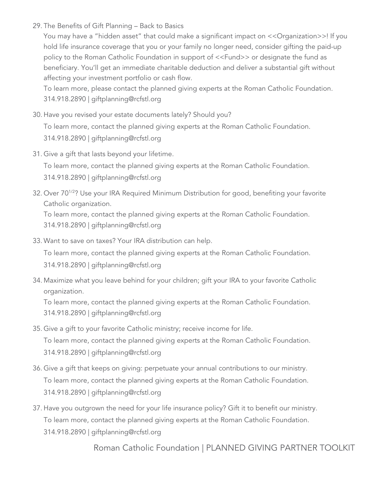29. The Benefits of Gift Planning – Back to Basics

You may have a "hidden asset" that could make a significant impact on << Organization>>! If you hold life insurance coverage that you or your family no longer need, consider gifting the paid-up policy to the Roman Catholic Foundation in support of <<Fund>> or designate the fund as beneficiary. You'll get an immediate charitable deduction and deliver a substantial gift without affecting your investment portfolio or cash flow.

To learn more, please contact the planned giving experts at the Roman Catholic Foundation. 314.918.2890 | giftplanning@rcfstl.org

30. Have you revised your estate documents lately? Should you?

To learn more, contact the planned giving experts at the Roman Catholic Foundation. 314.918.2890 | giftplanning@rcfstl.org

31. Give a gift that lasts beyond your lifetime.

To learn more, contact the planned giving experts at the Roman Catholic Foundation. 314.918.2890 | giftplanning@rcfstl.org

32. Over 70<sup>1/2</sup>? Use your IRA Required Minimum Distribution for good, benefiting your favorite Catholic organization.

To learn more, contact the planned giving experts at the Roman Catholic Foundation. 314.918.2890 | giftplanning@rcfstl.org

33. Want to save on taxes? Your IRA distribution can help.

To learn more, contact the planned giving experts at the Roman Catholic Foundation. 314.918.2890 | giftplanning@rcfstl.org

34. Maximize what you leave behind for your children; gift your IRA to your favorite Catholic organization.

To learn more, contact the planned giving experts at the Roman Catholic Foundation. 314.918.2890 | giftplanning@rcfstl.org

- 35. Give a gift to your favorite Catholic ministry; receive income for life. To learn more, contact the planned giving experts at the Roman Catholic Foundation. 314.918.2890 | giftplanning@rcfstl.org
- 36. Give a gift that keeps on giving: perpetuate your annual contributions to our ministry. To learn more, contact the planned giving experts at the Roman Catholic Foundation. 314.918.2890 | giftplanning@rcfstl.org
- 37. Have you outgrown the need for your life insurance policy? Gift it to benefit our ministry. To learn more, contact the planned giving experts at the Roman Catholic Foundation. 314.918.2890 | giftplanning@rcfstl.org

Roman Catholic Foundation | PLANNED GIVING PARTNER TOOLKIT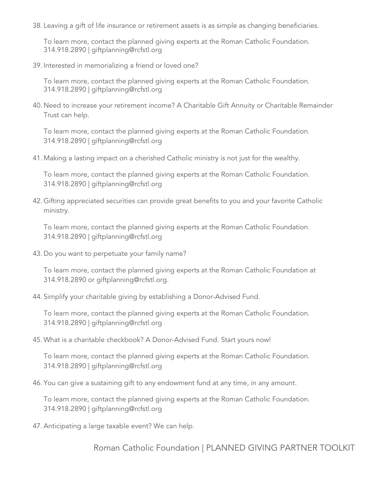38. Leaving a gift of life insurance or retirement assets is as simple as changing beneficiaries.

To learn more, contact the planned giving experts at the Roman Catholic Foundation. 314.918.2890 | giftplanning@rcfstl.org

39. Interested in memorializing a friend or loved one?

To learn more, contact the planned giving experts at the Roman Catholic Foundation. 314.918.2890 | giftplanning@rcfstl.org

40. Need to increase your retirement income? A Charitable Gift Annuity or Charitable Remainder Trust can help.

To learn more, contact the planned giving experts at the Roman Catholic Foundation. 314.918.2890 | giftplanning@rcfstl.org

41. Making a lasting impact on a cherished Catholic ministry is not just for the wealthy.

To learn more, contact the planned giving experts at the Roman Catholic Foundation. 314.918.2890 | giftplanning@rcfstl.org

42. Gifting appreciated securities can provide great benefits to you and your favorite Catholic ministry.

To learn more, contact the planned giving experts at the Roman Catholic Foundation. 314.918.2890 | giftplanning@rcfstl.org

43. Do you want to perpetuate your family name?

To learn more, contact the planned giving experts at the Roman Catholic Foundation at 314.918.2890 or giftplanning@rcfstl.org.

44. Simplify your charitable giving by establishing a Donor-Advised Fund.

To learn more, contact the planned giving experts at the Roman Catholic Foundation. 314.918.2890 | giftplanning@rcfstl.org

45. What is a charitable checkbook? A Donor-Advised Fund. Start yours now!

To learn more, contact the planned giving experts at the Roman Catholic Foundation. 314.918.2890 | giftplanning@rcfstl.org

46. You can give a sustaining gift to any endowment fund at any time, in any amount.

To learn more, contact the planned giving experts at the Roman Catholic Foundation. 314.918.2890 | giftplanning@rcfstl.org

47. Anticipating a large taxable event? We can help.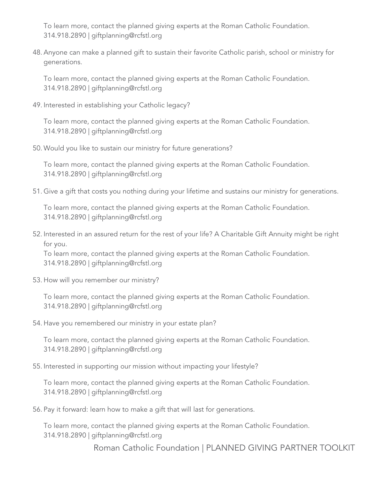To learn more, contact the planned giving experts at the Roman Catholic Foundation. 314.918.2890 | giftplanning@rcfstl.org

48. Anyone can make a planned gift to sustain their favorite Catholic parish, school or ministry for generations.

To learn more, contact the planned giving experts at the Roman Catholic Foundation. 314.918.2890 | giftplanning@rcfstl.org

49. Interested in establishing your Catholic legacy?

To learn more, contact the planned giving experts at the Roman Catholic Foundation. 314.918.2890 | giftplanning@rcfstl.org

50. Would you like to sustain our ministry for future generations?

To learn more, contact the planned giving experts at the Roman Catholic Foundation. 314.918.2890 | giftplanning@rcfstl.org

51. Give a gift that costs you nothing during your lifetime and sustains our ministry for generations.

To learn more, contact the planned giving experts at the Roman Catholic Foundation. 314.918.2890 | giftplanning@rcfstl.org

52. Interested in an assured return for the rest of your life? A Charitable Gift Annuity might be right for you.

To learn more, contact the planned giving experts at the Roman Catholic Foundation. 314.918.2890 | giftplanning@rcfstl.org

53. How will you remember our ministry?

To learn more, contact the planned giving experts at the Roman Catholic Foundation. 314.918.2890 | giftplanning@rcfstl.org

54. Have you remembered our ministry in your estate plan?

To learn more, contact the planned giving experts at the Roman Catholic Foundation. 314.918.2890 | giftplanning@rcfstl.org

55. Interested in supporting our mission without impacting your lifestyle?

To learn more, contact the planned giving experts at the Roman Catholic Foundation. 314.918.2890 | giftplanning@rcfstl.org

56. Pay it forward: learn how to make a gift that will last for generations.

To learn more, contact the planned giving experts at the Roman Catholic Foundation. 314.918.2890 | giftplanning@rcfstl.org

Roman Catholic Foundation | PLANNED GIVING PARTNER TOOLKIT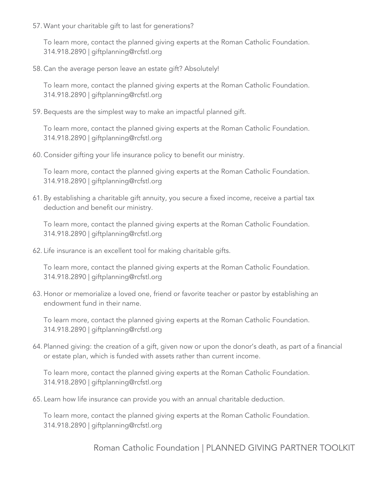57. Want your charitable gift to last for generations?

To learn more, contact the planned giving experts at the Roman Catholic Foundation. 314.918.2890 | giftplanning@rcfstl.org

58. Can the average person leave an estate gift? Absolutely!

To learn more, contact the planned giving experts at the Roman Catholic Foundation. 314.918.2890 | giftplanning@rcfstl.org

59. Bequests are the simplest way to make an impactful planned gift.

To learn more, contact the planned giving experts at the Roman Catholic Foundation. 314.918.2890 | giftplanning@rcfstl.org

60. Consider gifting your life insurance policy to benefit our ministry.

To learn more, contact the planned giving experts at the Roman Catholic Foundation. 314.918.2890 | giftplanning@rcfstl.org

61. By establishing a charitable gift annuity, you secure a fixed income, receive a partial tax deduction and benefit our ministry.

To learn more, contact the planned giving experts at the Roman Catholic Foundation. 314.918.2890 | giftplanning@rcfstl.org

62. Life insurance is an excellent tool for making charitable gifts.

To learn more, contact the planned giving experts at the Roman Catholic Foundation. 314.918.2890 | giftplanning@rcfstl.org

63. Honor or memorialize a loved one, friend or favorite teacher or pastor by establishing an endowment fund in their name.

To learn more, contact the planned giving experts at the Roman Catholic Foundation. 314.918.2890 | giftplanning@rcfstl.org

64. Planned giving: the creation of a gift, given now or upon the donor's death, as part of a financial or estate plan, which is funded with assets rather than current income.

To learn more, contact the planned giving experts at the Roman Catholic Foundation. 314.918.2890 | giftplanning@rcfstl.org

65. Learn how life insurance can provide you with an annual charitable deduction.

To learn more, contact the planned giving experts at the Roman Catholic Foundation. 314.918.2890 | giftplanning@rcfstl.org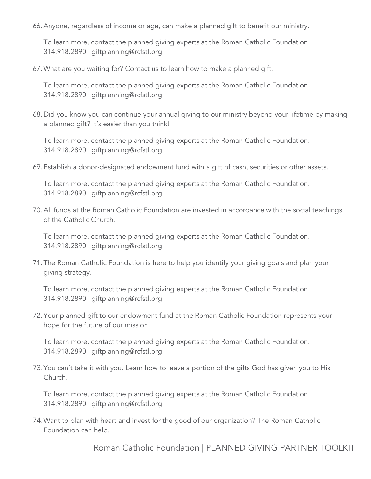66. Anyone, regardless of income or age, can make a planned gift to benefit our ministry.

To learn more, contact the planned giving experts at the Roman Catholic Foundation. 314.918.2890 | giftplanning@rcfstl.org

67. What are you waiting for? Contact us to learn how to make a planned gift.

To learn more, contact the planned giving experts at the Roman Catholic Foundation. 314.918.2890 | giftplanning@rcfstl.org

68. Did you know you can continue your annual giving to our ministry beyond your lifetime by making a planned gift? It's easier than you think!

To learn more, contact the planned giving experts at the Roman Catholic Foundation. 314.918.2890 | giftplanning@rcfstl.org

69. Establish a donor-designated endowment fund with a gift of cash, securities or other assets.

To learn more, contact the planned giving experts at the Roman Catholic Foundation. 314.918.2890 | giftplanning@rcfstl.org

70. All funds at the Roman Catholic Foundation are invested in accordance with the social teachings of the Catholic Church.

To learn more, contact the planned giving experts at the Roman Catholic Foundation. 314.918.2890 | giftplanning@rcfstl.org

71. The Roman Catholic Foundation is here to help you identify your giving goals and plan your giving strategy.

To learn more, contact the planned giving experts at the Roman Catholic Foundation. 314.918.2890 | giftplanning@rcfstl.org

72. Your planned gift to our endowment fund at the Roman Catholic Foundation represents your hope for the future of our mission.

To learn more, contact the planned giving experts at the Roman Catholic Foundation. 314.918.2890 | giftplanning@rcfstl.org

73.You can't take it with you. Learn how to leave a portion of the gifts God has given you to His Church.

To learn more, contact the planned giving experts at the Roman Catholic Foundation. 314.918.2890 | giftplanning@rcfstl.org

74.Want to plan with heart and invest for the good of our organization? The Roman Catholic Foundation can help.